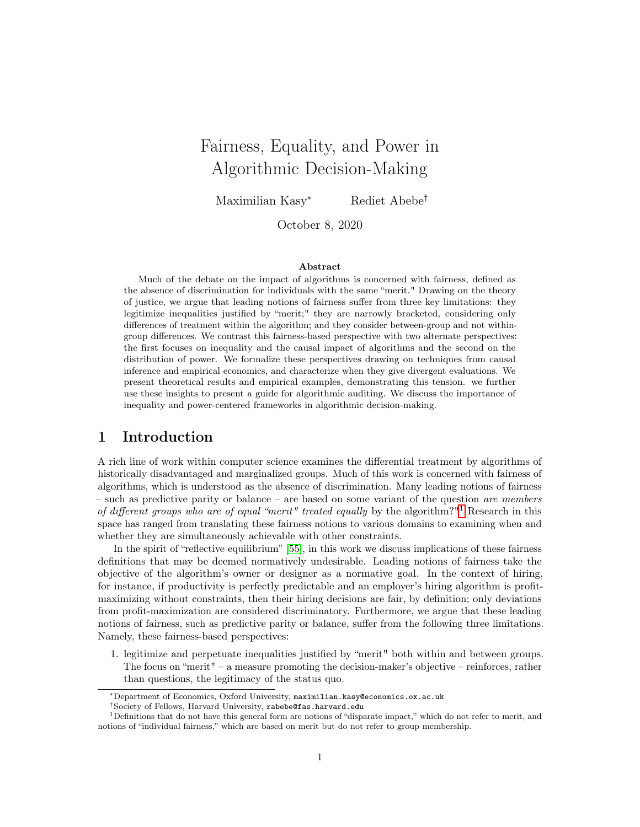# Fairness, Equality, and Power in Algorithmic Decision-Making

Maximilian Kasy<sup>∗</sup> Rediet Abebe†

October 8, 2020

#### Abstract

Much of the debate on the impact of algorithms is concerned with fairness, defined as the absence of discrimination for individuals with the same "merit." Drawing on the theory of justice, we argue that leading notions of fairness suffer from three key limitations: they legitimize inequalities justified by "merit;" they are narrowly bracketed, considering only differences of treatment within the algorithm; and they consider between-group and not withingroup differences. We contrast this fairness-based perspective with two alternate perspectives: the first focuses on inequality and the causal impact of algorithms and the second on the distribution of power. We formalize these perspectives drawing on techniques from causal inference and empirical economics, and characterize when they give divergent evaluations. We present theoretical results and empirical examples, demonstrating this tension. we further use these insights to present a guide for algorithmic auditing. We discuss the importance of inequality and power-centered frameworks in algorithmic decision-making.

## 1 Introduction

A rich line of work within computer science examines the differential treatment by algorithms of historically disadvantaged and marginalized groups. Much of this work is concerned with fairness of algorithms, which is understood as the absence of discrimination. Many leading notions of fairness – such as predictive parity or balance – are based on some variant of the question *are members* of different groups who are of equal "merit" treated equally by the algorithm?"<sup>[1](#page-0-0)</sup> Research in this space has ranged from translating these fairness notions to various domains to examining when and whether they are simultaneously achievable with other constraints.

In the spirit of "reflective equilibrium" [\[55\]](#page-17-0), in this work we discuss implications of these fairness definitions that may be deemed normatively undesirable. Leading notions of fairness take the objective of the algorithm's owner or designer as a normative goal. In the context of hiring, for instance, if productivity is perfectly predictable and an employer's hiring algorithm is profitmaximizing without constraints, then their hiring decisions are fair, by definition; only deviations from profit-maximization are considered discriminatory. Furthermore, we argue that these leading notions of fairness, such as predictive parity or balance, suffer from the following three limitations. Namely, these fairness-based perspectives:

1. legitimize and perpetuate inequalities justified by "merit" both within and between groups. The focus on "merit" – a measure promoting the decision-maker's objective – reinforces, rather than questions, the legitimacy of the status quo.

<sup>∗</sup>Department of Economics, Oxford University, maximilian.kasy@economics.ox.ac.uk

<span id="page-0-0"></span><sup>†</sup>Society of Fellows, Harvard University, rabebe@fas.harvard.edu

<sup>1</sup>Definitions that do not have this general form are notions of "disparate impact," which do not refer to merit, and notions of "individual fairness," which are based on merit but do not refer to group membership.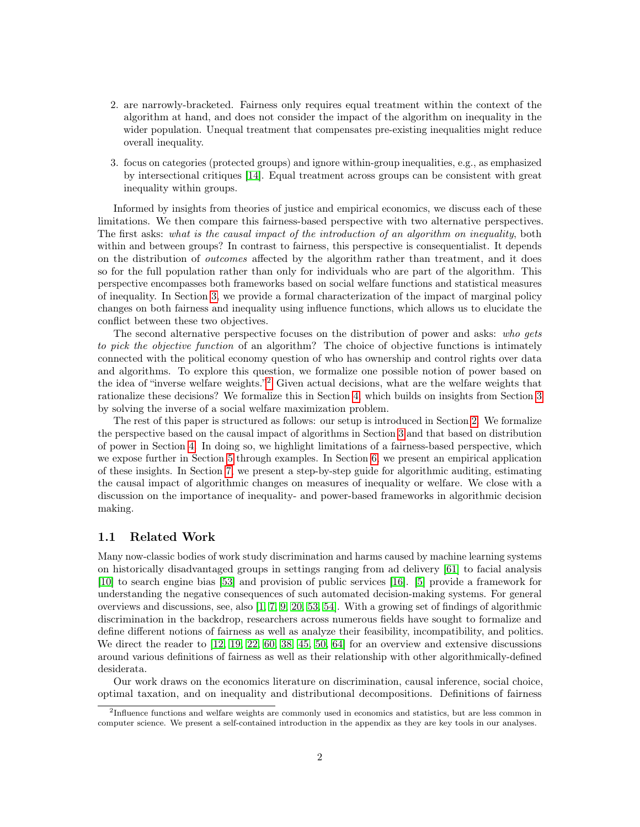- 2. are narrowly-bracketed. Fairness only requires equal treatment within the context of the algorithm at hand, and does not consider the impact of the algorithm on inequality in the wider population. Unequal treatment that compensates pre-existing inequalities might reduce overall inequality.
- 3. focus on categories (protected groups) and ignore within-group inequalities, e.g., as emphasized by intersectional critiques [\[14\]](#page-14-0). Equal treatment across groups can be consistent with great inequality within groups.

Informed by insights from theories of justice and empirical economics, we discuss each of these limitations. We then compare this fairness-based perspective with two alternative perspectives. The first asks: what is the causal impact of the introduction of an algorithm on inequality, both within and between groups? In contrast to fairness, this perspective is consequentialist. It depends on the distribution of outcomes affected by the algorithm rather than treatment, and it does so for the full population rather than only for individuals who are part of the algorithm. This perspective encompasses both frameworks based on social welfare functions and statistical measures of inequality. In Section [3,](#page-4-0) we provide a formal characterization of the impact of marginal policy changes on both fairness and inequality using influence functions, which allows us to elucidate the conflict between these two objectives.

The second alternative perspective focuses on the distribution of power and asks: who gets to pick the objective function of an algorithm? The choice of objective functions is intimately connected with the political economy question of who has ownership and control rights over data and algorithms. To explore this question, we formalize one possible notion of power based on the idea of "inverse welfare weights."<sup>[2](#page-1-0)</sup> Given actual decisions, what are the welfare weights that rationalize these decisions? We formalize this in Section [4,](#page-8-0) which builds on insights from Section [3](#page-4-0) by solving the inverse of a social welfare maximization problem.

The rest of this paper is structured as follows: our setup is introduced in Section [2.](#page-2-0) We formalize the perspective based on the causal impact of algorithms in Section [3](#page-4-0) and that based on distribution of power in Section [4.](#page-8-0) In doing so, we highlight limitations of a fairness-based perspective, which we expose further in Section [5](#page-9-0) through examples. In Section [6,](#page-11-0) we present an empirical application of these insights. In Section [7,](#page-12-0) we present a step-by-step guide for algorithmic auditing, estimating the causal impact of algorithmic changes on measures of inequality or welfare. We close with a discussion on the importance of inequality- and power-based frameworks in algorithmic decision making.

#### 1.1 Related Work

Many now-classic bodies of work study discrimination and harms caused by machine learning systems on historically disadvantaged groups in settings ranging from ad delivery [\[61\]](#page-17-1) to facial analysis [\[10\]](#page-14-1) to search engine bias [\[53\]](#page-17-2) and provision of public services [\[16\]](#page-14-2). [\[5\]](#page-14-3) provide a framework for understanding the negative consequences of such automated decision-making systems. For general overviews and discussions, see, also [\[1,](#page-14-4) [7,](#page-14-5) [9,](#page-14-6) [20,](#page-15-0) [53,](#page-17-2) [54\]](#page-17-3). With a growing set of findings of algorithmic discrimination in the backdrop, researchers across numerous fields have sought to formalize and define different notions of fairness as well as analyze their feasibility, incompatibility, and politics. We direct the reader to [\[12,](#page-14-7) [19,](#page-15-1) [22,](#page-15-2) [60,](#page-17-4) [38,](#page-16-0) [45,](#page-16-1) [50,](#page-16-2) [64\]](#page-17-5) for an overview and extensive discussions around various definitions of fairness as well as their relationship with other algorithmically-defined desiderata.

Our work draws on the economics literature on discrimination, causal inference, social choice, optimal taxation, and on inequality and distributional decompositions. Definitions of fairness

<span id="page-1-0"></span><sup>&</sup>lt;sup>2</sup>Influence functions and welfare weights are commonly used in economics and statistics, but are less common in computer science. We present a self-contained introduction in the appendix as they are key tools in our analyses.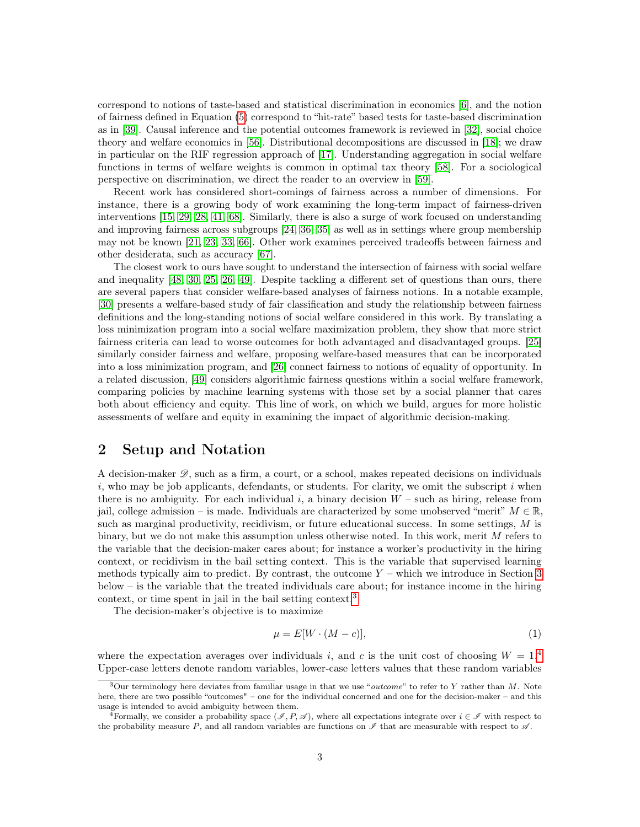correspond to notions of taste-based and statistical discrimination in economics [\[6\]](#page-14-8), and the notion of fairness defined in Equation [\(5\)](#page-3-0) correspond to "hit-rate" based tests for taste-based discrimination as in [\[39\]](#page-16-3). Causal inference and the potential outcomes framework is reviewed in [\[32\]](#page-15-3), social choice theory and welfare economics in [\[56\]](#page-17-6). Distributional decompositions are discussed in [\[18\]](#page-15-4); we draw in particular on the RIF regression approach of [\[17\]](#page-15-5). Understanding aggregation in social welfare functions in terms of welfare weights is common in optimal tax theory [\[58\]](#page-17-7). For a sociological perspective on discrimination, we direct the reader to an overview in [\[59\]](#page-17-8).

Recent work has considered short-comings of fairness across a number of dimensions. For instance, there is a growing body of work examining the long-term impact of fairness-driven interventions [\[15,](#page-14-9) [29,](#page-15-6) [28,](#page-15-7) [41,](#page-16-4) [68\]](#page-17-9). Similarly, there is also a surge of work focused on understanding and improving fairness across subgroups [\[24,](#page-15-8) [36,](#page-16-5) [35\]](#page-16-6) as well as in settings where group membership may not be known [\[21,](#page-15-9) [23,](#page-15-10) [33,](#page-15-11) [66\]](#page-17-10). Other work examines perceived tradeoffs between fairness and other desiderata, such as accuracy [\[67\]](#page-17-11).

The closest work to ours have sought to understand the intersection of fairness with social welfare and inequality [\[48,](#page-16-7) [30,](#page-15-12) [25,](#page-15-13) [26,](#page-15-14) [49\]](#page-16-8). Despite tackling a different set of questions than ours, there are several papers that consider welfare-based analyses of fairness notions. In a notable example, [\[30\]](#page-15-12) presents a welfare-based study of fair classification and study the relationship between fairness definitions and the long-standing notions of social welfare considered in this work. By translating a loss minimization program into a social welfare maximization problem, they show that more strict fairness criteria can lead to worse outcomes for both advantaged and disadvantaged groups. [\[25\]](#page-15-13) similarly consider fairness and welfare, proposing welfare-based measures that can be incorporated into a loss minimization program, and [\[26\]](#page-15-14) connect fairness to notions of equality of opportunity. In a related discussion, [\[49\]](#page-16-8) considers algorithmic fairness questions within a social welfare framework, comparing policies by machine learning systems with those set by a social planner that cares both about efficiency and equity. This line of work, on which we build, argues for more holistic assessments of welfare and equity in examining the impact of algorithmic decision-making.

## <span id="page-2-0"></span>2 Setup and Notation

A decision-maker  $\mathscr{D}$ , such as a firm, a court, or a school, makes repeated decisions on individuals i, who may be job applicants, defendants, or students. For clarity, we omit the subscript i when there is no ambiguity. For each individual i, a binary decision  $W$  – such as hiring, release from jail, college admission – is made. Individuals are characterized by some unobserved "merit"  $M \in \mathbb{R}$ , such as marginal productivity, recidivism, or future educational success. In some settings, M is binary, but we do not make this assumption unless otherwise noted. In this work, merit M refers to the variable that the decision-maker cares about; for instance a worker's productivity in the hiring context, or recidivism in the bail setting context. This is the variable that supervised learning methods typically aim to predict. By contrast, the outcome  $Y$  – which we introduce in Section [3](#page-4-0) below – is the variable that the treated individuals care about; for instance income in the hiring context, or time spent in jail in the bail setting context.<sup>[3](#page-2-1)</sup>

The decision-maker's objective is to maximize

$$
\mu = E[W \cdot (M - c)],\tag{1}
$$

where the expectation averages over individuals i, and c is the unit cost of choosing  $W = 1.4$  $W = 1.4$ Upper-case letters denote random variables, lower-case letters values that these random variables

<span id="page-2-1"></span> $3$ Our terminology here deviates from familiar usage in that we use "*outcome*" to refer to Y rather than M. Note here, there are two possible "outcomes" – one for the individual concerned and one for the decision-maker – and this usage is intended to avoid ambiguity between them.

<span id="page-2-2"></span><sup>&</sup>lt;sup>4</sup>Formally, we consider a probability space (I, P, I), where all expectations integrate over  $i \in \mathcal{I}$  with respect to the probability measure P, and all random variables are functions on  $\mathscr I$  that are measurable with respect to  $\mathscr A$ .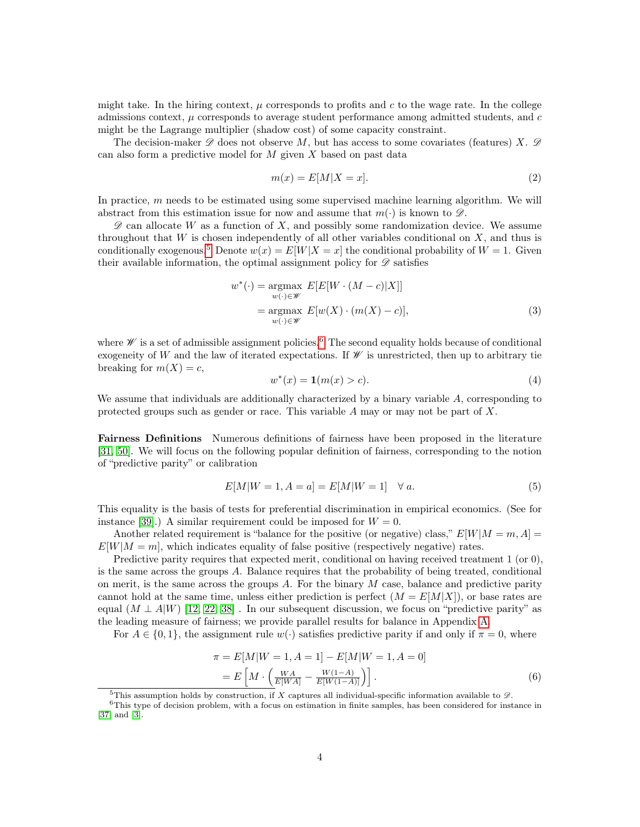might take. In the hiring context,  $\mu$  corresponds to profits and c to the wage rate. In the college admissions context,  $\mu$  corresponds to average student performance among admitted students, and  $c$ might be the Lagrange multiplier (shadow cost) of some capacity constraint.

The decision-maker  $\mathscr D$  does not observe M, but has access to some covariates (features) X.  $\mathscr D$ can also form a predictive model for  $M$  given  $X$  based on past data

$$
m(x) = E[M|X = x].
$$
\n<sup>(2)</sup>

In practice,  $m$  needs to be estimated using some supervised machine learning algorithm. We will abstract from this estimation issue for now and assume that  $m(\cdot)$  is known to  $\mathscr{D}$ .

 $\mathscr D$  can allocate W as a function of X, and possibly some randomization device. We assume throughout that  $W$  is chosen independently of all other variables conditional on  $X$ , and thus is conditionally exogenous.<sup>[5](#page-3-1)</sup> Denote  $w(x) = E[W|X=x]$  the conditional probability of  $W = 1$ . Given their available information, the optimal assignment policy for  $\mathscr D$  satisfies

$$
w^*(\cdot) = \underset{w(\cdot) \in \mathscr{W}}{\operatorname{argmax}} E[E[W \cdot (M - c)|X]]
$$
  
= 
$$
\underset{w(\cdot) \in \mathscr{W}}{\operatorname{argmax}} E[w(X) \cdot (m(X) - c)],
$$
 (3)

where  $\mathscr W$  is a set of admissible assignment policies.<sup>[6](#page-3-2)</sup> The second equality holds because of conditional exogeneity of W and the law of iterated expectations. If  $\mathscr W$  is unrestricted, then up to arbitrary tie breaking for  $m(X) = c$ ,

$$
w^*(x) = \mathbf{1}(m(x) > c).
$$
 (4)

We assume that individuals are additionally characterized by a binary variable A, corresponding to protected groups such as gender or race. This variable A may or may not be part of X.

Fairness Definitions Numerous definitions of fairness have been proposed in the literature [\[31,](#page-15-15) [50\]](#page-16-2). We will focus on the following popular definition of fairness, corresponding to the notion of "predictive parity" or calibration

<span id="page-3-0"></span>
$$
E[M|W=1, A=a] = E[M|W=1] \quad \forall a.
$$
 (5)

This equality is the basis of tests for preferential discrimination in empirical economics. (See for instance [\[39\]](#page-16-3).) A similar requirement could be imposed for  $W = 0$ .

Another related requirement is "balance for the positive (or negative) class,"  $E[W|M=m,A]$  $E[W|M=m]$ , which indicates equality of false positive (respectively negative) rates.

Predictive parity requires that expected merit, conditional on having received treatment 1 (or 0), is the same across the groups  $A$ . Balance requires that the probability of being treated, conditional on merit, is the same across the groups  $A$ . For the binary  $M$  case, balance and predictive parity cannot hold at the same time, unless either prediction is perfect  $(M = E[M|X])$ , or base rates are equal  $(M \perp A|W)$  [\[12,](#page-14-7) [22,](#page-15-2) [38\]](#page-16-0). In our subsequent discussion, we focus on "predictive parity" as the leading measure of fairness; we provide parallel results for balance in Appendix [A.](#page-18-0)

For  $A \in \{0, 1\}$ , the assignment rule  $w(\cdot)$  satisfies predictive parity if and only if  $\pi = 0$ , where

$$
\pi = E[M|W = 1, A = 1] - E[M|W = 1, A = 0]
$$

$$
= E\left[M \cdot \left(\frac{WA}{E[WA]} - \frac{W(1-A)}{E[W(1-A)]}\right)\right].
$$
(6)

<span id="page-3-2"></span><span id="page-3-1"></span><sup>&</sup>lt;sup>5</sup>This assumption holds by construction, if X captures all individual-specific information available to  $\mathscr{D}$ .

<sup>&</sup>lt;sup>6</sup>This type of decision problem, with a focus on estimation in finite samples, has been considered for instance in [\[37\]](#page-16-9) and [\[3\]](#page-14-10).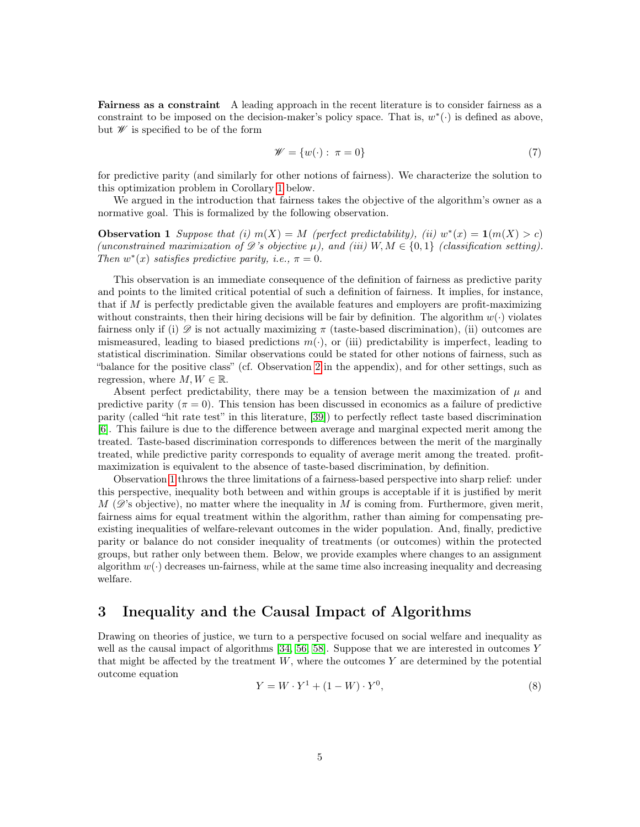Fairness as a constraint A leading approach in the recent literature is to consider fairness as a constraint to be imposed on the decision-maker's policy space. That is,  $w^*(\cdot)$  is defined as above, but  $\mathscr W$  is specified to be of the form

<span id="page-4-1"></span>
$$
\mathscr{W} = \{w(\cdot) : \pi = 0\} \tag{7}
$$

for predictive parity (and similarly for other notions of fairness). We characterize the solution to this optimization problem in Corollary [1](#page-7-0) below.

We argued in the introduction that fairness takes the objective of the algorithm's owner as a normative goal. This is formalized by the following observation.

**Observation 1** Suppose that (i)  $m(X) = M$  (perfect predictability), (ii)  $w^*(x) = \mathbf{1}(m(X) > c)$ (unconstrained maximization of  $\mathscr{D}'s$  objective  $\mu$ ), and (iii)  $W, M \in \{0,1\}$  (classification setting). Then  $w^*(x)$  satisfies predictive parity, i.e.,  $\pi = 0$ .

This observation is an immediate consequence of the definition of fairness as predictive parity and points to the limited critical potential of such a definition of fairness. It implies, for instance, that if  $M$  is perfectly predictable given the available features and employers are profit-maximizing without constraints, then their hiring decisions will be fair by definition. The algorithm  $w(\cdot)$  violates fairness only if (i)  $\mathscr D$  is not actually maximizing  $\pi$  (taste-based discrimination), (ii) outcomes are mismeasured, leading to biased predictions  $m(\cdot)$ , or (iii) predictability is imperfect, leading to statistical discrimination. Similar observations could be stated for other notions of fairness, such as "balance for the positive class" (cf. Observation [2](#page-18-1) in the appendix), and for other settings, such as regression, where  $M, W \in \mathbb{R}$ .

Absent perfect predictability, there may be a tension between the maximization of  $\mu$  and predictive parity ( $\pi = 0$ ). This tension has been discussed in economics as a failure of predictive parity (called "hit rate test" in this literature, [\[39\]](#page-16-3)) to perfectly reflect taste based discrimination [\[6\]](#page-14-8). This failure is due to the difference between average and marginal expected merit among the treated. Taste-based discrimination corresponds to differences between the merit of the marginally treated, while predictive parity corresponds to equality of average merit among the treated. profitmaximization is equivalent to the absence of taste-based discrimination, by definition.

Observation [1](#page-4-1) throws the three limitations of a fairness-based perspective into sharp relief: under this perspective, inequality both between and within groups is acceptable if it is justified by merit  $M$  ( $\mathscr{D}$ 's objective), no matter where the inequality in M is coming from. Furthermore, given merit, fairness aims for equal treatment within the algorithm, rather than aiming for compensating preexisting inequalities of welfare-relevant outcomes in the wider population. And, finally, predictive parity or balance do not consider inequality of treatments (or outcomes) within the protected groups, but rather only between them. Below, we provide examples where changes to an assignment algorithm  $w(\cdot)$  decreases un-fairness, while at the same time also increasing inequality and decreasing welfare.

### <span id="page-4-0"></span>3 Inequality and the Causal Impact of Algorithms

Drawing on theories of justice, we turn to a perspective focused on social welfare and inequality as well as the causal impact of algorithms [\[34,](#page-15-16) [56,](#page-17-6) [58\]](#page-17-7). Suppose that we are interested in outcomes Y that might be affected by the treatment  $W$ , where the outcomes  $Y$  are determined by the potential outcome equation

$$
Y = W \cdot Y^1 + (1 - W) \cdot Y^0,\tag{8}
$$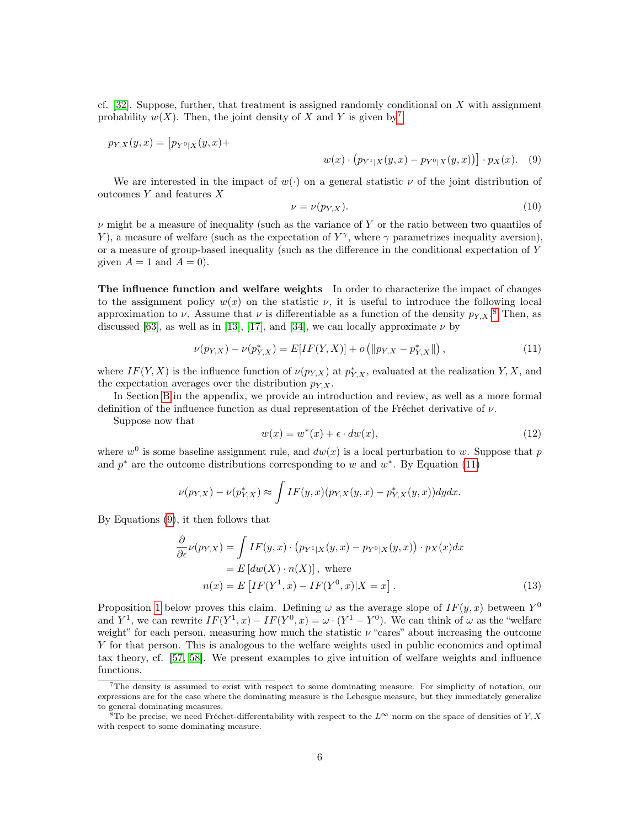cf. [\[32\]](#page-15-3). Suppose, further, that treatment is assigned randomly conditional on  $X$  with assignment probability  $w(X)$ . Then, the joint density of X and Y is given by<sup>[7](#page-5-0)</sup>

$$
p_{Y,X}(y,x) = [p_{Y^0|X}(y,x) +
$$

<span id="page-5-3"></span>
$$
w(x) \cdot (p_{Y^1|X}(y,x) - p_{Y^0|X}(y,x)) \cdot p_X(x).
$$
 (9)

We are interested in the impact of  $w(\cdot)$  on a general statistic  $\nu$  of the joint distribution of outcomes  $Y$  and features  $X$ 

<span id="page-5-2"></span>
$$
\nu = \nu(p_{Y,X}).\tag{10}
$$

 $\nu$  might be a measure of inequality (such as the variance of Y or the ratio between two quantiles of Y), a measure of welfare (such as the expectation of  $Y^{\gamma}$ , where  $\gamma$  parametrizes inequality aversion), or a measure of group-based inequality (such as the difference in the conditional expectation of Y given  $A = 1$  and  $A = 0$ .

The influence function and welfare weights In order to characterize the impact of changes to the assignment policy  $w(x)$  on the statistic  $\nu$ , it is useful to introduce the following local approximation to  $\nu$ . Assume that  $\nu$  is differentiable as a function of the density  $p_{Y,X}$ .<sup>[8](#page-5-1)</sup> Then, as discussed [\[63\]](#page-17-12), as well as in [\[13\]](#page-14-11), [\[17\]](#page-15-5), and [\[34\]](#page-15-16), we can locally approximate  $\nu$  by

$$
\nu(p_{Y,X}) - \nu(p_{Y,X}^*) = E[IF(Y,X)] + o\left(\|p_{Y,X} - p_{Y,X}^*\|\right),\tag{11}
$$

where  $IF(Y, X)$  is the influence function of  $\nu(p_{Y,X})$  at  $p_{Y,X}^*$ , evaluated at the realization  $Y, X$ , and the expectation averages over the distribution  $p_{Y,X}$ .

In Section [B](#page-18-2) in the appendix, we provide an introduction and review, as well as a more formal definition of the influence function as dual representation of the Fréchet derivative of  $\nu$ .

Suppose now that

$$
w(x) = w^*(x) + \epsilon \cdot dw(x),\tag{12}
$$

where  $w<sup>0</sup>$  is some baseline assignment rule, and  $dw(x)$  is a local perturbation to w. Suppose that p and  $p^*$  are the outcome distributions corresponding to w and  $w^*$ . By Equation [\(11\)](#page-5-2)

$$
\nu(p_{Y,X}) - \nu(p_{Y,X}^*) \approx \int IF(y,x)(p_{Y,X}(y,x) - p_{Y,X}^*(y,x))dydx.
$$

By Equations [\(9\)](#page-5-3), it then follows that

$$
\frac{\partial}{\partial \epsilon} \nu(p_{Y,X}) = \int I F(y, x) \cdot (p_{Y^1|X}(y, x) - p_{Y^0|X}(y, x)) \cdot p_X(x) dx
$$
  
=  $E [dw(X) \cdot n(X)],$  where  

$$
n(x) = E [IF(Y^1, x) - IF(Y^0, x)|X = x].
$$
 (13)

Proposition [1](#page-6-0) below proves this claim. Defining  $\omega$  as the average slope of  $IF(y, x)$  between  $Y^0$ and  $Y^1$ , we can rewrite  $IF(Y^1, x) - IF(Y^0, x) = \omega \cdot (Y^1 - Y^0)$ . We can think of  $\omega$  as the "welfare" weight" for each person, measuring how much the statistic  $\nu$  "cares" about increasing the outcome Y for that person. This is analogous to the welfare weights used in public economics and optimal tax theory, cf. [\[57,](#page-17-13) [58\]](#page-17-7). We present examples to give intuition of welfare weights and influence functions.

<span id="page-5-0"></span><sup>7</sup>The density is assumed to exist with respect to some dominating measure. For simplicity of notation, our expressions are for the case where the dominating measure is the Lebesgue measure, but they immediately generalize to general dominating measures.

<span id="page-5-1"></span> $8T_0$  be precise, we need Fréchet-differentability with respect to the  $L^{\infty}$  norm on the space of densities of Y, X with respect to some dominating measure.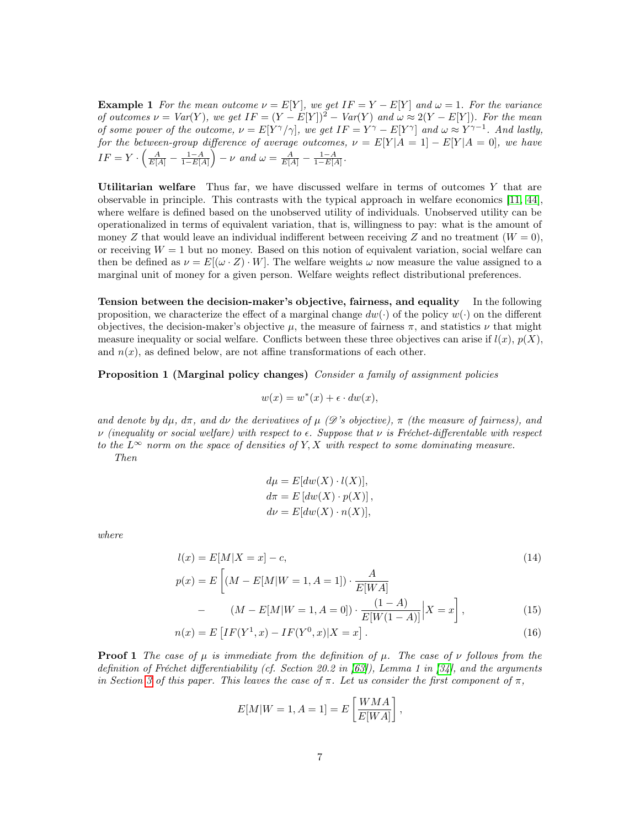**Example 1** For the mean outcome  $\nu = E[Y]$ , we get  $IF = Y - E[Y]$  and  $\omega = 1$ . For the variance of outcomes  $\nu = Var(Y)$ , we get  $IF = (Y - E[Y])^2 - Var(Y)$  and  $\omega \approx 2(Y - E[Y])$ . For the mean of some power of the outcome,  $\nu = E[Y^{\gamma}/\gamma]$ , we get  $IF = Y^{\gamma} - E[Y^{\gamma}]$  and  $\omega \approx Y^{\gamma-1}$ . And lastly, for the between-group difference of average outcomes,  $\nu = E[Y|A=1] - E[Y|A=0]$ , we have  $IF = Y \cdot \left(\frac{A}{E[A]} - \frac{1-A}{1-E[A]}\right) - \nu$  and  $\omega = \frac{A}{E[A]} - \frac{1-A}{1-E[A]}$ .

Utilitarian welfare Thus far, we have discussed welfare in terms of outcomes  $Y$  that are observable in principle. This contrasts with the typical approach in welfare economics [\[11,](#page-14-12) [44\]](#page-16-10), where welfare is defined based on the unobserved utility of individuals. Unobserved utility can be operationalized in terms of equivalent variation, that is, willingness to pay: what is the amount of money Z that would leave an individual indifferent between receiving Z and no treatment  $(W = 0)$ , or receiving  $W = 1$  but no money. Based on this notion of equivalent variation, social welfare can then be defined as  $\nu = E[(\omega \cdot Z) \cdot W]$ . The welfare weights  $\omega$  now measure the value assigned to a marginal unit of money for a given person. Welfare weights reflect distributional preferences.

**Tension between the decision-maker's objective, fairness, and equality** In the following proposition, we characterize the effect of a marginal change  $dw(\cdot)$  of the policy  $w(\cdot)$  on the different objectives, the decision-maker's objective  $\mu$ , the measure of fairness  $\pi$ , and statistics  $\nu$  that might measure inequality or social welfare. Conflicts between these three objectives can arise if  $l(x)$ ,  $p(X)$ , and  $n(x)$ , as defined below, are not affine transformations of each other.

<span id="page-6-0"></span>Proposition 1 (Marginal policy changes) Consider a family of assignment policies

$$
w(x) = w^*(x) + \epsilon \cdot dw(x),
$$

and denote by  $d\mu$ ,  $d\pi$ , and  $d\nu$  the derivatives of  $\mu$  ( $\mathscr{D}$ 's objective),  $\pi$  (the measure of fairness), and  $\nu$  (inequality or social welfare) with respect to  $\epsilon$ . Suppose that  $\nu$  is Fréchet-differentable with respect to the  $L^{\infty}$  norm on the space of densities of Y, X with respect to some dominating measure. Then

$$
d\mu = E[dw(X) \cdot l(X)],
$$
  
\n
$$
d\pi = E[dw(X) \cdot p(X)],
$$
  
\n
$$
d\nu = E[dw(X) \cdot n(X)],
$$

where

$$
l(x) = E[M|X = x] - c,
$$
  
\n
$$
p(x) = E\left[ (M - E[M|W = 1, A = 1]) \cdot \frac{A}{E[W, A]}\right]
$$
\n(14)

$$
x) = E\left[ (M - E[M|W = 1, A = 1]) \cdot \frac{1}{E[WA]} - (M - E[M|W = 1, A = 0]) \cdot \frac{(1 - A)}{E[W(1 - A)]} |X = x \right],
$$
\n(15)

$$
n(x) = E\left[IF(Y^1, x) - IF(Y^0, x)|X = x\right].
$$
\n(16)

**Proof 1** The case of  $\mu$  is immediate from the definition of  $\mu$ . The case of  $\nu$  follows from the definition of Fréchet differentiability (cf. Section 20.2 in [\[63\]](#page-17-12)), Lemma 1 in [\[34\]](#page-15-16), and the arguments in Section [3](#page-4-0) of this paper. This leaves the case of  $\pi$ . Let us consider the first component of  $\pi$ ,

$$
E[M|W=1, A=1] = E\left[\frac{WMA}{E[WA]}\right],
$$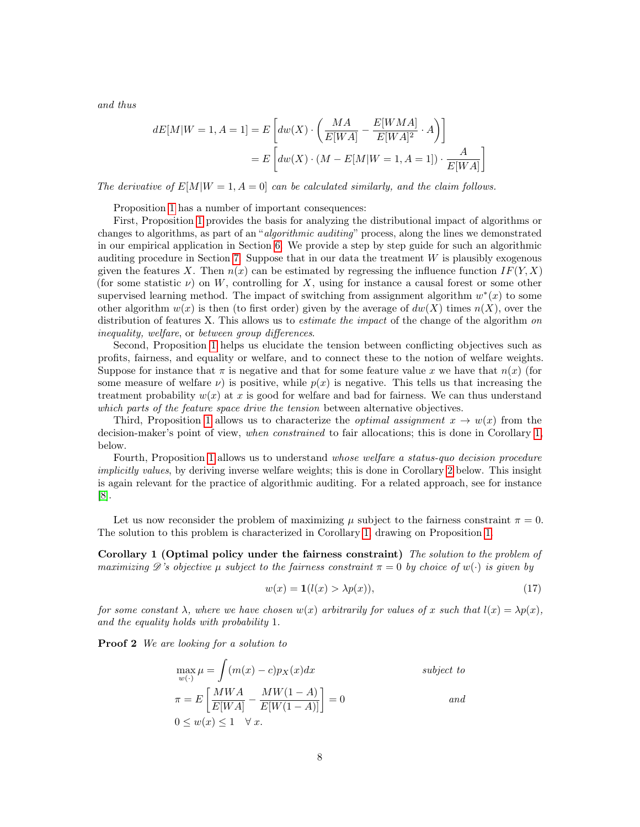and thus

$$
dE[M|W=1, A=1] = E\left[dw(X) \cdot \left(\frac{MA}{E[WA]} - \frac{E[WMA]}{E[WA]^2} \cdot A\right)\right]
$$

$$
= E\left[dw(X) \cdot (M - E[M|W=1, A=1]) \cdot \frac{A}{E[WA]}\right]
$$

The derivative of  $E[M|W=1, A=0]$  can be calculated similarly, and the claim follows.

Proposition [1](#page-6-0) has a number of important consequences:

First, Proposition [1](#page-6-0) provides the basis for analyzing the distributional impact of algorithms or changes to algorithms, as part of an "*algorithmic auditing*" process, along the lines we demonstrated in our empirical application in Section [6.](#page-11-0) We provide a step by step guide for such an algorithmic auditing procedure in Section [7.](#page-12-0) Suppose that in our data the treatment W is plausibly exogenous given the features X. Then  $n(x)$  can be estimated by regressing the influence function  $IF(Y, X)$ (for some statistic  $\nu$ ) on W, controlling for X, using for instance a causal forest or some other supervised learning method. The impact of switching from assignment algorithm  $w^*(x)$  to some other algorithm  $w(x)$  is then (to first order) given by the average of  $dw(X)$  times  $n(X)$ , over the distribution of features X. This allows us to *estimate the impact* of the change of the algorithm on inequality, welfare, or between group differences.

Second, Proposition [1](#page-6-0) helps us elucidate the tension between conflicting objectives such as profits, fairness, and equality or welfare, and to connect these to the notion of welfare weights. Suppose for instance that  $\pi$  is negative and that for some feature value x we have that  $n(x)$  (for some measure of welfare  $\nu$ ) is positive, while  $p(x)$  is negative. This tells us that increasing the treatment probability  $w(x)$  at x is good for welfare and bad for fairness. We can thus understand which parts of the feature space drive the tension between alternative objectives.

Third, Proposition [1](#page-6-0) allows us to characterize the *optimal assignment*  $x \to w(x)$  from the decision-maker's point of view, when constrained to fair allocations; this is done in Corollary [1,](#page-7-0) below.

Fourth, Proposition [1](#page-6-0) allows us to understand whose welfare a status-quo decision procedure implicitly values, by deriving inverse welfare weights; this is done in Corollary [2](#page-9-1) below. This insight is again relevant for the practice of algorithmic auditing. For a related approach, see for instance [\[8\]](#page-14-13).

Let us now reconsider the problem of maximizing  $\mu$  subject to the fairness constraint  $\pi = 0$ . The solution to this problem is characterized in Corollary [1,](#page-7-0) drawing on Proposition [1.](#page-6-0)

<span id="page-7-0"></span>Corollary 1 (Optimal policy under the fairness constraint) The solution to the problem of maximizing  $\mathscr D$ 's objective  $\mu$  subject to the fairness constraint  $\pi = 0$  by choice of  $w(\cdot)$  is given by

$$
w(x) = \mathbf{1}(l(x) > \lambda p(x)),\tag{17}
$$

for some constant  $\lambda$ , where we have chosen  $w(x)$  arbitrarily for values of x such that  $l(x) = \lambda p(x)$ , and the equality holds with probability 1.

Proof 2 We are looking for a solution to

$$
\max_{w(\cdot)} \mu = \int (m(x) - c)p_X(x) dx
$$
\n
$$
\pi = E\left[\frac{MWA}{E[WA]} - \frac{MW(1-A)}{E[W(1-A)]}\right] = 0
$$
\n
$$
0 \le w(x) \le 1 \quad \forall x.
$$
\nso the following equation:

\n
$$
y = 0
$$
\nand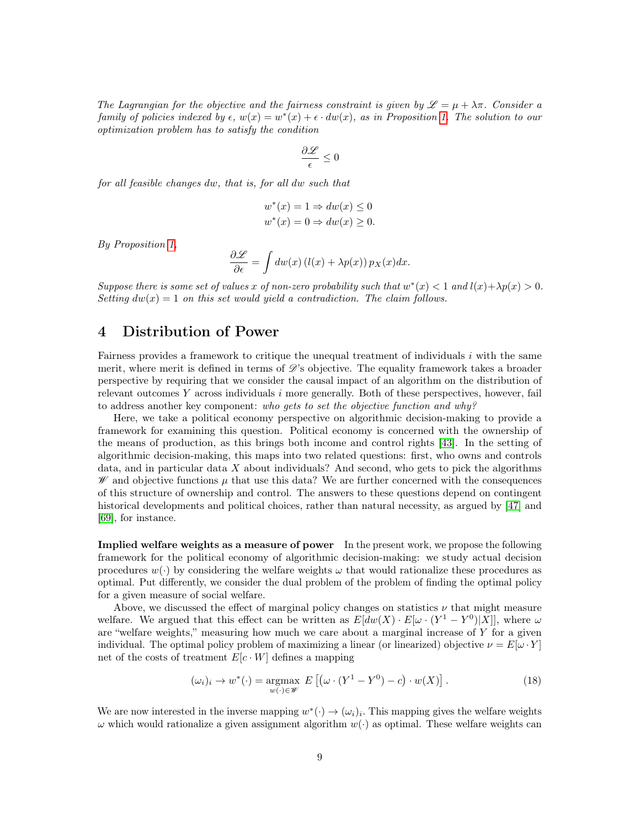The Lagrangian for the objective and the fairness constraint is given by  $\mathscr{L} = \mu + \lambda \pi$ . Consider a family of policies indexed by  $\epsilon$ ,  $w(x) = w^*(x) + \epsilon \cdot dw(x)$ , as in Proposition [1.](#page-6-0) The solution to our optimization problem has to satisfy the condition

$$
\frac{\partial \mathscr{L}}{\epsilon} \leq 0
$$

for all feasible changes dw, that is, for all dw such that

$$
w^*(x) = 1 \Rightarrow dw(x) \le 0
$$
  

$$
w^*(x) = 0 \Rightarrow dw(x) \ge 0.
$$

By Proposition [1,](#page-6-0)

$$
\frac{\partial \mathcal{L}}{\partial \epsilon} = \int dw(x) \left( l(x) + \lambda p(x) \right) p_X(x) dx.
$$

Suppose there is some set of values x of non-zero probability such that  $w^*(x) < 1$  and  $l(x) + \lambda p(x) > 0$ . Setting  $dw(x) = 1$  on this set would yield a contradiction. The claim follows.

### <span id="page-8-0"></span>4 Distribution of Power

Fairness provides a framework to critique the unequal treatment of individuals  $i$  with the same merit, where merit is defined in terms of  $\mathscr{D}'$ 's objective. The equality framework takes a broader perspective by requiring that we consider the causal impact of an algorithm on the distribution of relevant outcomes  $Y$  across individuals  $i$  more generally. Both of these perspectives, however, fail to address another key component: who gets to set the objective function and why?

Here, we take a political economy perspective on algorithmic decision-making to provide a framework for examining this question. Political economy is concerned with the ownership of the means of production, as this brings both income and control rights [\[43\]](#page-16-11). In the setting of algorithmic decision-making, this maps into two related questions: first, who owns and controls data, and in particular data X about individuals? And second, who gets to pick the algorithms  $\mathscr W$  and objective functions  $\mu$  that use this data? We are further concerned with the consequences of this structure of ownership and control. The answers to these questions depend on contingent historical developments and political choices, rather than natural necessity, as argued by [\[47\]](#page-16-12) and [\[69\]](#page-17-14), for instance.

Implied welfare weights as a measure of power In the present work, we propose the following framework for the political economy of algorithmic decision-making: we study actual decision procedures  $w(\cdot)$  by considering the welfare weights  $\omega$  that would rationalize these procedures as optimal. Put differently, we consider the dual problem of the problem of finding the optimal policy for a given measure of social welfare.

Above, we discussed the effect of marginal policy changes on statistics  $\nu$  that might measure welfare. We argued that this effect can be written as  $E[dw(X) \cdot E[\omega \cdot (Y^1 - Y^0)|X|]$ , where  $\omega$ are "welfare weights," measuring how much we care about a marginal increase of Y for a given individual. The optimal policy problem of maximizing a linear (or linearized) objective  $\nu = E[\omega \cdot Y]$ net of the costs of treatment  $E[c \cdot W]$  defines a mapping

$$
(\omega_i)_i \to w^*(\cdot) = \underset{w(\cdot) \in \mathscr{W}}{\operatorname{argmax}} \ E\left[ (\omega \cdot (Y^1 - Y^0) - c) \cdot w(X) \right]. \tag{18}
$$

We are now interested in the inverse mapping  $w^*(\cdot) \to (\omega_i)_i$ . This mapping gives the welfare weights  $\omega$  which would rationalize a given assignment algorithm  $w(\cdot)$  as optimal. These welfare weights can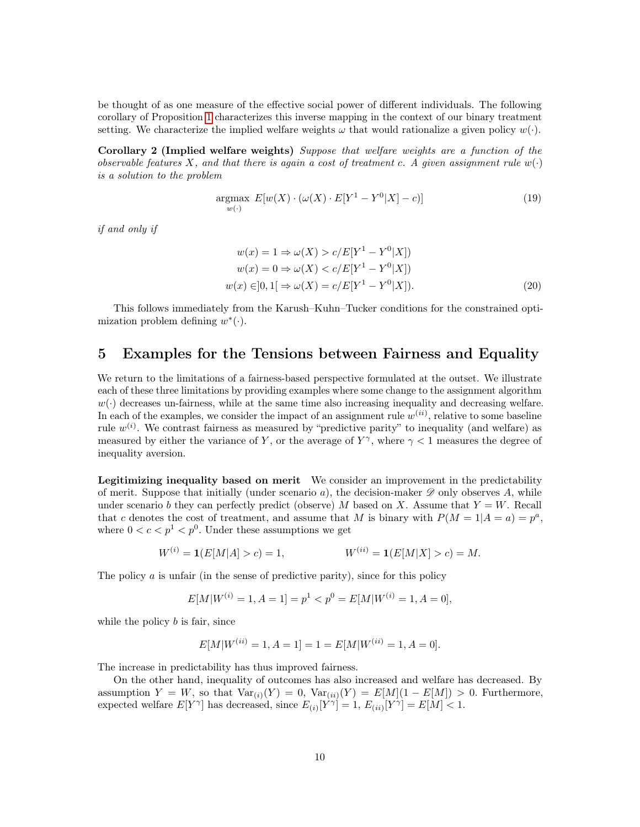be thought of as one measure of the effective social power of different individuals. The following corollary of Proposition [1](#page-6-0) characterizes this inverse mapping in the context of our binary treatment setting. We characterize the implied welfare weights  $\omega$  that would rationalize a given policy  $w(\cdot)$ .

Corollary 2 (Implied welfare weights) Suppose that welfare weights are a function of the observable features X, and that there is again a cost of treatment c. A given assignment rule  $w(\cdot)$ is a solution to the problem

<span id="page-9-1"></span>
$$
\underset{w(\cdot)}{\text{argmax}} \ E[w(X) \cdot (\omega(X) \cdot E[Y^1 - Y^0 | X] - c)] \tag{19}
$$

if and only if

$$
w(x) = 1 \Rightarrow \omega(X) > c/E[Y^1 - Y^0|X])
$$
  
\n
$$
w(x) = 0 \Rightarrow \omega(X) < c/E[Y^1 - Y^0|X])
$$
  
\n
$$
w(x) \in ]0, 1] \Rightarrow \omega(X) = c/E[Y^1 - Y^0|X]).
$$
\n(20)

This follows immediately from the Karush–Kuhn–Tucker conditions for the constrained optimization problem defining  $w^*(\cdot)$ .

#### <span id="page-9-0"></span>5 Examples for the Tensions between Fairness and Equality

We return to the limitations of a fairness-based perspective formulated at the outset. We illustrate each of these three limitations by providing examples where some change to the assignment algorithm  $w(\cdot)$  decreases un-fairness, while at the same time also increasing inequality and decreasing welfare. In each of the examples, we consider the impact of an assignment rule  $w^{(ii)}$ , relative to some baseline rule  $w^{(i)}$ . We contrast fairness as measured by "predictive parity" to inequality (and welfare) as measured by either the variance of Y, or the average of  $Y^{\gamma}$ , where  $\gamma < 1$  measures the degree of inequality aversion.

Legitimizing inequality based on merit We consider an improvement in the predictability of merit. Suppose that initially (under scenario a), the decision-maker  $\mathscr D$  only observes A, while under scenario b they can perfectly predict (observe) M based on X. Assume that  $Y = W$ . Recall that c denotes the cost of treatment, and assume that M is binary with  $P(M = 1|A = a) = p^a$ , where  $0 < c < p^1 < p^0$ . Under these assumptions we get

$$
W^{(i)} = \mathbf{1}(E[M|A] > c) = 1, \qquad W^{(ii)} = \mathbf{1}(E[M|X] > c) = M.
$$

The policy  $\alpha$  is unfair (in the sense of predictive parity), since for this policy

$$
E[M|W^{(i)} = 1, A = 1] = p^1 < p^0 = E[M|W^{(i)} = 1, A = 0],
$$

while the policy  $b$  is fair, since

$$
E[M|W^{(ii)} = 1, A = 1] = 1 = E[M|W^{(ii)} = 1, A = 0].
$$

The increase in predictability has thus improved fairness.

On the other hand, inequality of outcomes has also increased and welfare has decreased. By assumption  $Y = W$ , so that  $Var_{(i)}(Y) = 0$ ,  $Var_{(ii)}(Y) = E[M](1 - E[M]) > 0$ . Furthermore, expected welfare  $E[Y^{\gamma}]$  has decreased, since  $E_{(i)}[Y^{\gamma}] = 1$ ,  $E_{(ii)}[Y^{\gamma}] = E[M] < 1$ .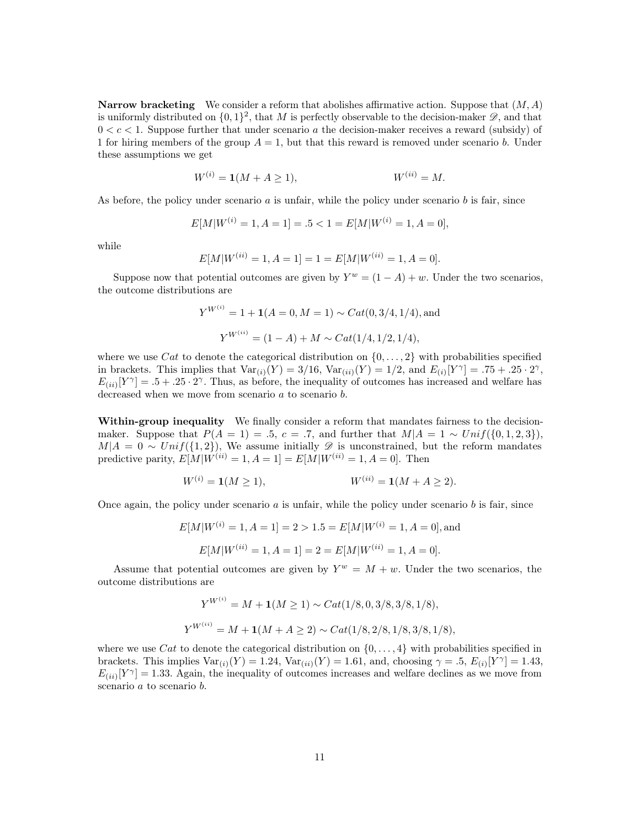**Narrow bracketing** We consider a reform that abolishes affirmative action. Suppose that  $(M, A)$ is uniformly distributed on  $\{0,1\}^2$ , that M is perfectly observable to the decision-maker  $\mathscr{D}$ , and that  $0 < c < 1$ . Suppose further that under scenario a the decision-maker receives a reward (subsidy) of 1 for hiring members of the group  $A = 1$ , but that this reward is removed under scenario b. Under these assumptions we get

$$
W^{(i)} = \mathbf{1}(M + A \ge 1), \qquad W^{(ii)} = M.
$$

As before, the policy under scenario  $a$  is unfair, while the policy under scenario  $b$  is fair, since

$$
E[M|W^{(i)} = 1, A = 1] = .5 < 1 = E[M|W^{(i)} = 1, A = 0],
$$

while

$$
E[M|W^{(ii)} = 1, A = 1] = 1 = E[M|W^{(ii)} = 1, A = 0].
$$

Suppose now that potential outcomes are given by  $Y^w = (1 - A) + w$ . Under the two scenarios, the outcome distributions are

$$
Y^{W^{(i)}} = 1 + \mathbf{1}(A = 0, M = 1) \sim Cat(0, 3/4, 1/4),
$$
 and  

$$
Y^{W^{(ii)}} = (1 - A) + M \sim Cat(1/4, 1/2, 1/4),
$$

where we use Cat to denote the categorical distribution on  $\{0, \ldots, 2\}$  with probabilities specified in brackets. This implies that  $Var_{(i)}(Y) = 3/16$ ,  $Var_{(ii)}(Y) = 1/2$ , and  $E_{(i)}[Y^{\gamma}] = .75 + .25 \cdot 2^{\gamma}$ ,  $E_{(ii)}[Y^{\gamma}] = .5 + .25 \cdot 2^{\gamma}$ . Thus, as before, the inequality of outcomes has increased and welfare has decreased when we move from scenario a to scenario b.

Within-group inequality We finally consider a reform that mandates fairness to the decisionmaker. Suppose that  $P(A = 1) = .5$ ,  $c = .7$ , and further that  $M|A = 1 \sim Unif(\{0, 1, 2, 3\})$ ,  $M|A = 0 \sim Unif({1, 2})$ , We assume initially  $\mathscr D$  is unconstrained, but the reform mandates predictive parity,  $E[M|W^{(ii)} = 1, A = 1] = E[M|W^{(ii)} = 1, A = 0]$ . Then

$$
W^{(i)} = \mathbf{1}(M \ge 1), \qquad W^{(ii)} = \mathbf{1}(M + A \ge 2).
$$

Once again, the policy under scenario  $a$  is unfair, while the policy under scenario  $b$  is fair, since

$$
E[M|W^{(i)} = 1, A = 1] = 2 > 1.5 = E[M|W^{(i)} = 1, A = 0],
$$
and  

$$
E[M|W^{(ii)} = 1, A = 1] = 2 = E[M|W^{(ii)} = 1, A = 0].
$$

Assume that potential outcomes are given by  $Y^w = M + w$ . Under the two scenarios, the outcome distributions are

$$
Y^{W^{(i)}} = M + \mathbf{1}(M \ge 1) \sim Cat(1/8, 0, 3/8, 3/8, 1/8),
$$
  
\n
$$
Y^{W^{(ii)}} = M + \mathbf{1}(M + A \ge 2) \sim Cat(1/8, 2/8, 1/8, 3/8, 1/8),
$$

where we use Cat to denote the categorical distribution on  $\{0, \ldots, 4\}$  with probabilities specified in brackets. This implies  $Var_{(i)}(Y) = 1.24$ ,  $Var_{(ii)}(Y) = 1.61$ , and, choosing  $\gamma = .5$ ,  $E_{(i)}[Y^{\gamma}] = 1.43$ ,  $E_{(ii)}[Y^{\gamma}] = 1.33$ . Again, the inequality of outcomes increases and welfare declines as we move from scenario a to scenario b.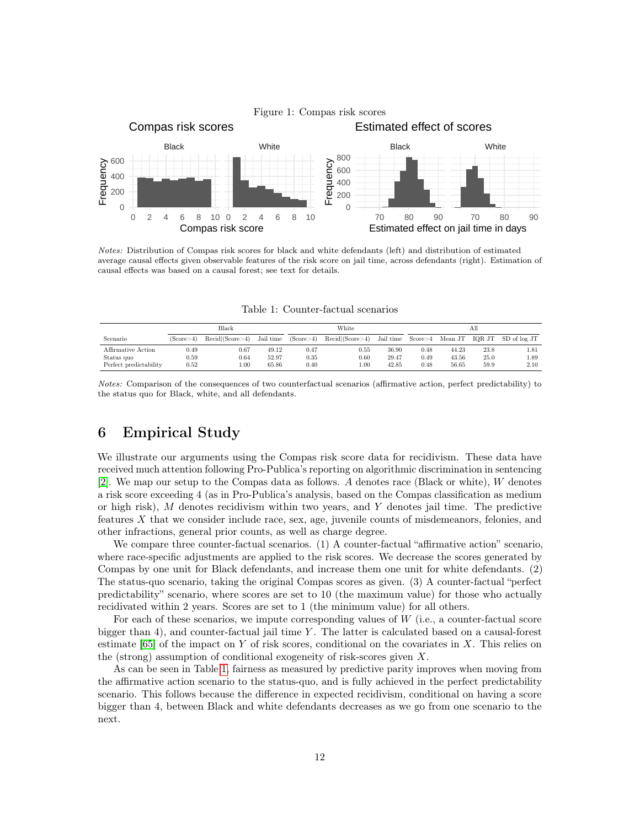

Notes: Distribution of Compas risk scores for black and white defendants (left) and distribution of estimated average causal effects given observable features of the risk score on jail time, across defendants (right). Estimation of causal effects was based on a causal forest; see text for details.

<span id="page-11-1"></span>Table 1: Counter-factual scenarios

|                        | Black     |                 |           | White     |                 |           | All       |         |        |              |
|------------------------|-----------|-----------------|-----------|-----------|-----------------|-----------|-----------|---------|--------|--------------|
| Scenario               | (Score>4) | Recid/(Score>4) | Jail time | (Score>4) | Recid (Score>4) | Jail time | Score > 4 | Mean JT | IOR JT | SD of log JT |
| Affirmative Action     | 0.49      | 0.67            | 49.12     | 0.47      | 0.55            | 36.90     | 0.48      | 44.23   | 23.8   | 1.81         |
| Status quo             | 0.59      | 0.64            | 52.97     | 0.35      | 0.60            | 29.47     | 0.49      | 43.56   | 25.0   | 1.89         |
| Perfect predictability | 0.52      | $1.00\,$        | 65.86     | 0.40      | .00             | 42.85     | 0.48      | 56.65   | 59.9   | 2.10         |

Notes: Comparison of the consequences of two counterfactual scenarios (affirmative action, perfect predictability) to the status quo for Black, white, and all defendants.

## <span id="page-11-0"></span>6 Empirical Study

We illustrate our arguments using the Compas risk score data for recidivism. These data have received much attention following Pro-Publica's reporting on algorithmic discrimination in sentencing [\[2\]](#page-14-14). We map our setup to the Compas data as follows. A denotes race (Black or white), W denotes a risk score exceeding 4 (as in Pro-Publica's analysis, based on the Compas classification as medium or high risk),  $M$  denotes recidivism within two years, and  $Y$  denotes jail time. The predictive features X that we consider include race, sex, age, juvenile counts of misdemeanors, felonies, and other infractions, general prior counts, as well as charge degree.

We compare three counter-factual scenarios. (1) A counter-factual "affirmative action" scenario, where race-specific adjustments are applied to the risk scores. We decrease the scores generated by Compas by one unit for Black defendants, and increase them one unit for white defendants. (2) The status-quo scenario, taking the original Compas scores as given. (3) A counter-factual "perfect predictability" scenario, where scores are set to 10 (the maximum value) for those who actually recidivated within 2 years. Scores are set to 1 (the minimum value) for all others.

For each of these scenarios, we impute corresponding values of  $W$  (i.e., a counter-factual score bigger than 4), and counter-factual jail time  $Y$ . The latter is calculated based on a causal-forest estimate  $[65]$  of the impact on Y of risk scores, conditional on the covariates in X. This relies on the (strong) assumption of conditional exogeneity of risk-scores given X.

As can be seen in Table [1,](#page-11-1) fairness as measured by predictive parity improves when moving from the affirmative action scenario to the status-quo, and is fully achieved in the perfect predictability scenario. This follows because the difference in expected recidivism, conditional on having a score bigger than 4, between Black and white defendants decreases as we go from one scenario to the next.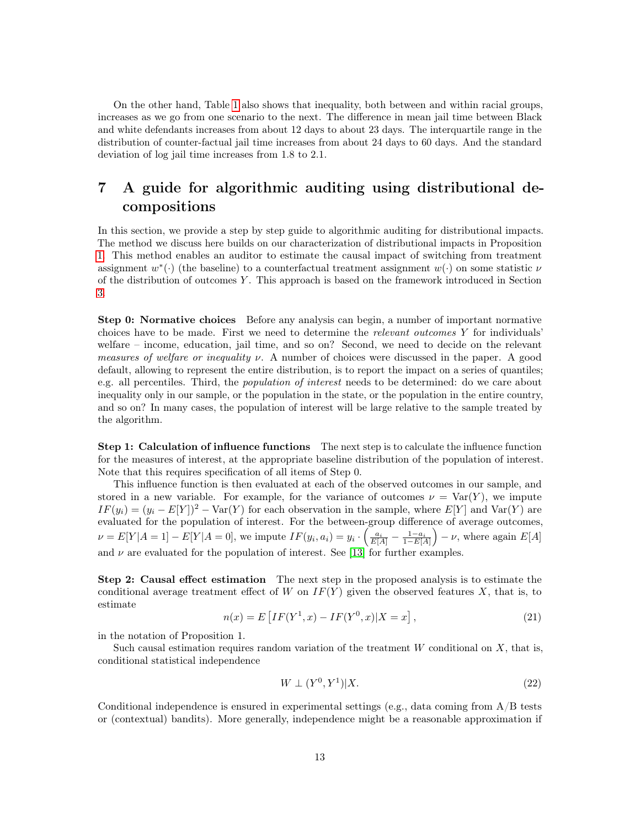On the other hand, Table [1](#page-11-1) also shows that inequality, both between and within racial groups, increases as we go from one scenario to the next. The difference in mean jail time between Black and white defendants increases from about 12 days to about 23 days. The interquartile range in the distribution of counter-factual jail time increases from about 24 days to 60 days. And the standard deviation of log jail time increases from 1.8 to 2.1.

## <span id="page-12-0"></span>7 A guide for algorithmic auditing using distributional decompositions

In this section, we provide a step by step guide to algorithmic auditing for distributional impacts. The method we discuss here builds on our characterization of distributional impacts in Proposition [1.](#page-6-0) This method enables an auditor to estimate the causal impact of switching from treatment assignment  $w^*(\cdot)$  (the baseline) to a counterfactual treatment assignment  $w(\cdot)$  on some statistic  $\nu$ of the distribution of outcomes  $Y$ . This approach is based on the framework introduced in Section [3.](#page-4-0)

Step 0: Normative choices Before any analysis can begin, a number of important normative choices have to be made. First we need to determine the *relevant outcomes Y* for individuals welfare – income, education, jail time, and so on? Second, we need to decide on the relevant measures of welfare or inequality v. A number of choices were discussed in the paper. A good default, allowing to represent the entire distribution, is to report the impact on a series of quantiles; e.g. all percentiles. Third, the *population of interest* needs to be determined: do we care about inequality only in our sample, or the population in the state, or the population in the entire country, and so on? In many cases, the population of interest will be large relative to the sample treated by the algorithm.

Step 1: Calculation of influence functions The next step is to calculate the influence function for the measures of interest, at the appropriate baseline distribution of the population of interest. Note that this requires specification of all items of Step 0.

This influence function is then evaluated at each of the observed outcomes in our sample, and stored in a new variable. For example, for the variance of outcomes  $\nu = \text{Var}(Y)$ , we impute  $IF(y_i) = (y_i - E[Y])^2 - \text{Var}(Y)$  for each observation in the sample, where  $E[Y]$  and  $\text{Var}(Y)$  are evaluated for the population of interest. For the between-group difference of average outcomes,  $\nu = E[Y|A=1] - E[Y|A=0],$  we impute  $IF(y_i, a_i) = y_i \cdot \left(\frac{a_i}{E[A]} - \frac{1-a_i}{1-E[A]}\right) - \nu$ , where again  $E[A]$ and  $\nu$  are evaluated for the population of interest. See [\[13\]](#page-14-11) for further examples.

Step 2: Causal effect estimation The next step in the proposed analysis is to estimate the conditional average treatment effect of W on  $IF(Y)$  given the observed features X, that is, to estimate

$$
n(x) = E\left[IF(Y^1, x) - IF(Y^0, x)|X = x\right],\tag{21}
$$

in the notation of Proposition 1.

Such causal estimation requires random variation of the treatment  $W$  conditional on  $X$ , that is, conditional statistical independence

$$
W \perp (Y^0, Y^1)|X. \tag{22}
$$

Conditional independence is ensured in experimental settings (e.g., data coming from  $A/B$  tests or (contextual) bandits). More generally, independence might be a reasonable approximation if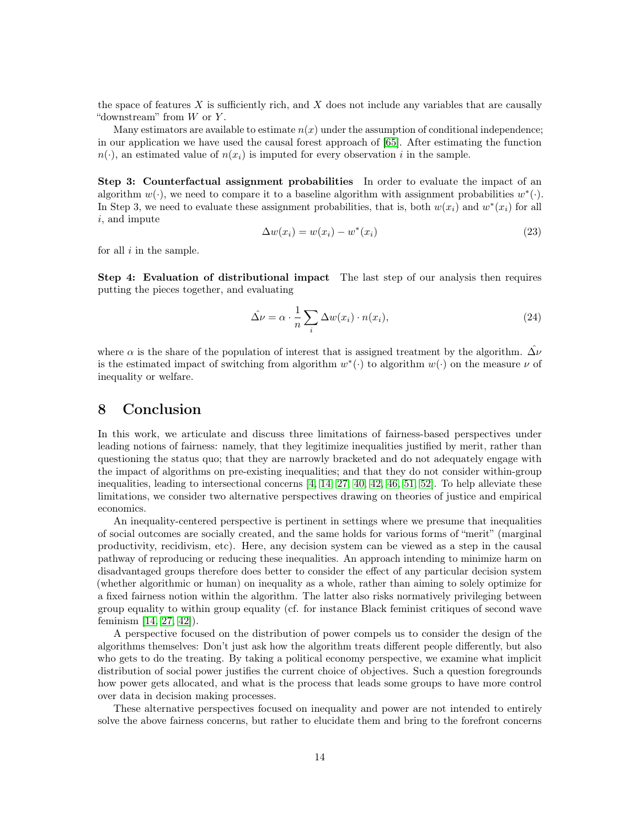the space of features X is sufficiently rich, and X does not include any variables that are causally "downstream" from  $W$  or  $Y$ .

Many estimators are available to estimate  $n(x)$  under the assumption of conditional independence; in our application we have used the causal forest approach of [\[65\]](#page-17-15). After estimating the function  $n(\cdot)$ , an estimated value of  $n(x_i)$  is imputed for every observation i in the sample.

Step 3: Counterfactual assignment probabilities In order to evaluate the impact of an algorithm  $w(\cdot)$ , we need to compare it to a baseline algorithm with assignment probabilities  $w^*(\cdot)$ . In Step 3, we need to evaluate these assignment probabilities, that is, both  $w(x_i)$  and  $w^*(x_i)$  for all i, and impute

$$
\Delta w(x_i) = w(x_i) - w^*(x_i) \tag{23}
$$

for all  $i$  in the sample.

Step 4: Evaluation of distributional impact The last step of our analysis then requires putting the pieces together, and evaluating

$$
\hat{\Delta \nu} = \alpha \cdot \frac{1}{n} \sum_{i} \Delta w(x_i) \cdot n(x_i), \tag{24}
$$

where  $\alpha$  is the share of the population of interest that is assigned treatment by the algorithm.  $\Delta \nu$ is the estimated impact of switching from algorithm  $w^*(\cdot)$  to algorithm  $w(\cdot)$  on the measure  $\nu$  of inequality or welfare.

## 8 Conclusion

In this work, we articulate and discuss three limitations of fairness-based perspectives under leading notions of fairness: namely, that they legitimize inequalities justified by merit, rather than questioning the status quo; that they are narrowly bracketed and do not adequately engage with the impact of algorithms on pre-existing inequalities; and that they do not consider within-group inequalities, leading to intersectional concerns [\[4,](#page-14-15) [14,](#page-14-0) [27,](#page-15-17) [40,](#page-16-13) [42,](#page-16-14) [46,](#page-16-15) [51,](#page-16-16) [52\]](#page-16-17). To help alleviate these limitations, we consider two alternative perspectives drawing on theories of justice and empirical economics.

An inequality-centered perspective is pertinent in settings where we presume that inequalities of social outcomes are socially created, and the same holds for various forms of "merit" (marginal productivity, recidivism, etc). Here, any decision system can be viewed as a step in the causal pathway of reproducing or reducing these inequalities. An approach intending to minimize harm on disadvantaged groups therefore does better to consider the effect of any particular decision system (whether algorithmic or human) on inequality as a whole, rather than aiming to solely optimize for a fixed fairness notion within the algorithm. The latter also risks normatively privileging between group equality to within group equality (cf. for instance Black feminist critiques of second wave feminism [\[14,](#page-14-0) [27,](#page-15-17) [42\]](#page-16-14)).

A perspective focused on the distribution of power compels us to consider the design of the algorithms themselves: Don't just ask how the algorithm treats different people differently, but also who gets to do the treating. By taking a political economy perspective, we examine what implicit distribution of social power justifies the current choice of objectives. Such a question foregrounds how power gets allocated, and what is the process that leads some groups to have more control over data in decision making processes.

These alternative perspectives focused on inequality and power are not intended to entirely solve the above fairness concerns, but rather to elucidate them and bring to the forefront concerns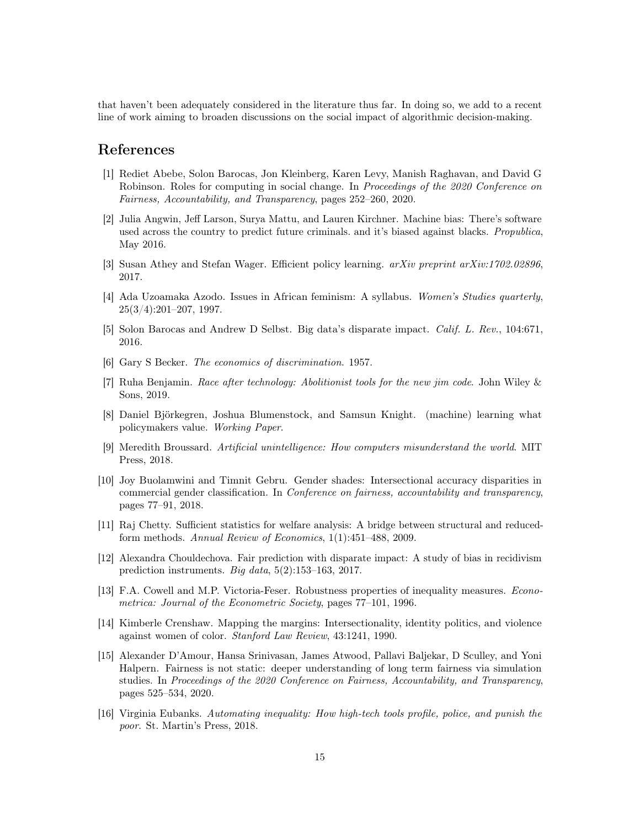that haven't been adequately considered in the literature thus far. In doing so, we add to a recent line of work aiming to broaden discussions on the social impact of algorithmic decision-making.

#### References

- <span id="page-14-4"></span>[1] Rediet Abebe, Solon Barocas, Jon Kleinberg, Karen Levy, Manish Raghavan, and David G Robinson. Roles for computing in social change. In Proceedings of the 2020 Conference on Fairness, Accountability, and Transparency, pages 252–260, 2020.
- <span id="page-14-14"></span>[2] Julia Angwin, Jeff Larson, Surya Mattu, and Lauren Kirchner. Machine bias: There's software used across the country to predict future criminals. and it's biased against blacks. Propublica, May 2016.
- <span id="page-14-10"></span>[3] Susan Athey and Stefan Wager. Efficient policy learning. arXiv preprint arXiv:1702.02896, 2017.
- <span id="page-14-15"></span>[4] Ada Uzoamaka Azodo. Issues in African feminism: A syllabus. Women's Studies quarterly, 25(3/4):201–207, 1997.
- <span id="page-14-3"></span>[5] Solon Barocas and Andrew D Selbst. Big data's disparate impact. Calif. L. Rev., 104:671, 2016.
- <span id="page-14-8"></span>[6] Gary S Becker. The economics of discrimination. 1957.
- <span id="page-14-5"></span>[7] Ruha Benjamin. Race after technology: Abolitionist tools for the new jim code. John Wiley & Sons, 2019.
- <span id="page-14-13"></span>[8] Daniel Björkegren, Joshua Blumenstock, and Samsun Knight. (machine) learning what policymakers value. Working Paper.
- <span id="page-14-6"></span>[9] Meredith Broussard. Artificial unintelligence: How computers misunderstand the world. MIT Press, 2018.
- <span id="page-14-1"></span>[10] Joy Buolamwini and Timnit Gebru. Gender shades: Intersectional accuracy disparities in commercial gender classification. In Conference on fairness, accountability and transparency, pages 77–91, 2018.
- <span id="page-14-12"></span>[11] Raj Chetty. Sufficient statistics for welfare analysis: A bridge between structural and reducedform methods. Annual Review of Economics, 1(1):451–488, 2009.
- <span id="page-14-7"></span>[12] Alexandra Chouldechova. Fair prediction with disparate impact: A study of bias in recidivism prediction instruments. Big data, 5(2):153–163, 2017.
- <span id="page-14-11"></span>[13] F.A. Cowell and M.P. Victoria-Feser. Robustness properties of inequality measures. Econometrica: Journal of the Econometric Society, pages 77–101, 1996.
- <span id="page-14-0"></span>[14] Kimberle Crenshaw. Mapping the margins: Intersectionality, identity politics, and violence against women of color. Stanford Law Review, 43:1241, 1990.
- <span id="page-14-9"></span>[15] Alexander D'Amour, Hansa Srinivasan, James Atwood, Pallavi Baljekar, D Sculley, and Yoni Halpern. Fairness is not static: deeper understanding of long term fairness via simulation studies. In Proceedings of the 2020 Conference on Fairness, Accountability, and Transparency, pages 525–534, 2020.
- <span id="page-14-2"></span>[16] Virginia Eubanks. Automating inequality: How high-tech tools profile, police, and punish the poor. St. Martin's Press, 2018.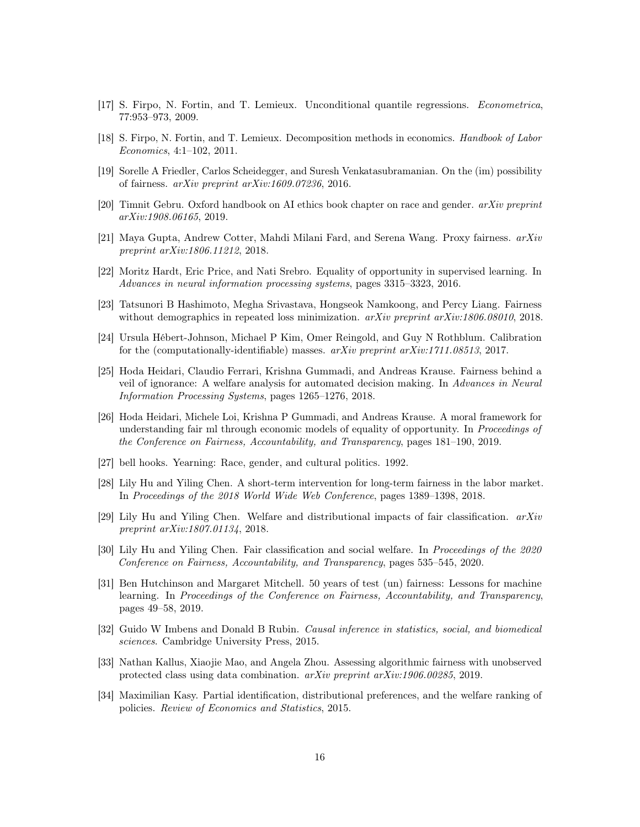- <span id="page-15-5"></span>[17] S. Firpo, N. Fortin, and T. Lemieux. Unconditional quantile regressions. Econometrica, 77:953–973, 2009.
- <span id="page-15-4"></span>[18] S. Firpo, N. Fortin, and T. Lemieux. Decomposition methods in economics. Handbook of Labor Economics, 4:1–102, 2011.
- <span id="page-15-1"></span>[19] Sorelle A Friedler, Carlos Scheidegger, and Suresh Venkatasubramanian. On the (im) possibility of fairness. arXiv preprint arXiv:1609.07236, 2016.
- <span id="page-15-0"></span>[20] Timnit Gebru. Oxford handbook on AI ethics book chapter on race and gender. arXiv preprint arXiv:1908.06165, 2019.
- <span id="page-15-9"></span>[21] Maya Gupta, Andrew Cotter, Mahdi Milani Fard, and Serena Wang. Proxy fairness. arXiv preprint arXiv:1806.11212, 2018.
- <span id="page-15-2"></span>[22] Moritz Hardt, Eric Price, and Nati Srebro. Equality of opportunity in supervised learning. In Advances in neural information processing systems, pages 3315–3323, 2016.
- <span id="page-15-10"></span>[23] Tatsunori B Hashimoto, Megha Srivastava, Hongseok Namkoong, and Percy Liang. Fairness without demographics in repeated loss minimization.  $arXiv$  preprint  $arXiv:1806.08010$ , 2018.
- <span id="page-15-8"></span>[24] Ursula Hébert-Johnson, Michael P Kim, Omer Reingold, and Guy N Rothblum. Calibration for the (computationally-identifiable) masses.  $arXiv$  preprint  $arXiv:1711.08513, 2017$ .
- <span id="page-15-13"></span>[25] Hoda Heidari, Claudio Ferrari, Krishna Gummadi, and Andreas Krause. Fairness behind a veil of ignorance: A welfare analysis for automated decision making. In Advances in Neural Information Processing Systems, pages 1265–1276, 2018.
- <span id="page-15-14"></span>[26] Hoda Heidari, Michele Loi, Krishna P Gummadi, and Andreas Krause. A moral framework for understanding fair ml through economic models of equality of opportunity. In *Proceedings of* the Conference on Fairness, Accountability, and Transparency, pages 181–190, 2019.
- <span id="page-15-17"></span>[27] bell hooks. Yearning: Race, gender, and cultural politics. 1992.
- <span id="page-15-7"></span>[28] Lily Hu and Yiling Chen. A short-term intervention for long-term fairness in the labor market. In Proceedings of the 2018 World Wide Web Conference, pages 1389–1398, 2018.
- <span id="page-15-6"></span>[29] Lily Hu and Yiling Chen. Welfare and distributional impacts of fair classification.  $arXiv$ preprint arXiv:1807.01134, 2018.
- <span id="page-15-12"></span>[30] Lily Hu and Yiling Chen. Fair classification and social welfare. In Proceedings of the 2020 Conference on Fairness, Accountability, and Transparency, pages 535–545, 2020.
- <span id="page-15-15"></span>[31] Ben Hutchinson and Margaret Mitchell. 50 years of test (un) fairness: Lessons for machine learning. In Proceedings of the Conference on Fairness, Accountability, and Transparency, pages 49–58, 2019.
- <span id="page-15-3"></span>[32] Guido W Imbens and Donald B Rubin. Causal inference in statistics, social, and biomedical sciences. Cambridge University Press, 2015.
- <span id="page-15-11"></span>[33] Nathan Kallus, Xiaojie Mao, and Angela Zhou. Assessing algorithmic fairness with unobserved protected class using data combination. arXiv preprint arXiv:1906.00285, 2019.
- <span id="page-15-16"></span>[34] Maximilian Kasy. Partial identification, distributional preferences, and the welfare ranking of policies. Review of Economics and Statistics, 2015.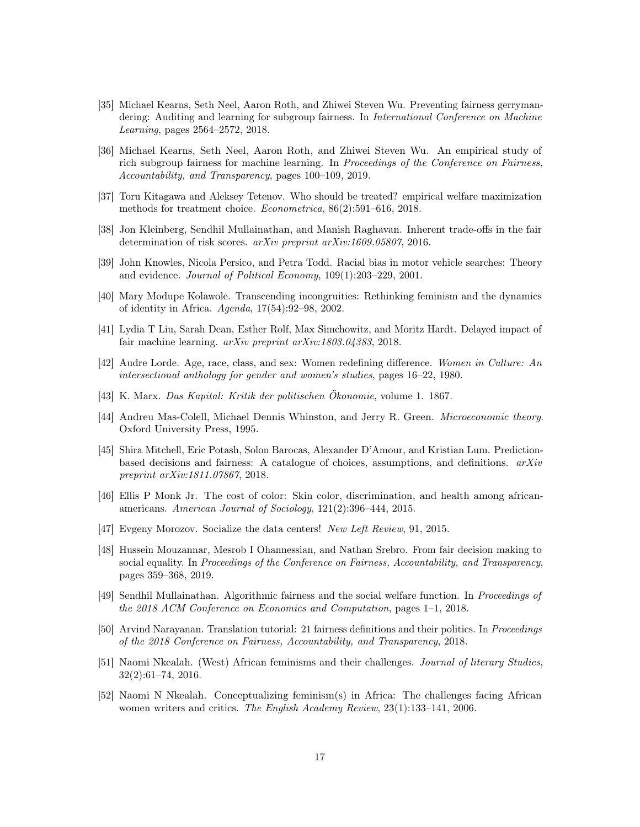- <span id="page-16-6"></span>[35] Michael Kearns, Seth Neel, Aaron Roth, and Zhiwei Steven Wu. Preventing fairness gerrymandering: Auditing and learning for subgroup fairness. In *International Conference on Machine* Learning, pages 2564–2572, 2018.
- <span id="page-16-5"></span>[36] Michael Kearns, Seth Neel, Aaron Roth, and Zhiwei Steven Wu. An empirical study of rich subgroup fairness for machine learning. In Proceedings of the Conference on Fairness, Accountability, and Transparency, pages 100–109, 2019.
- <span id="page-16-9"></span>[37] Toru Kitagawa and Aleksey Tetenov. Who should be treated? empirical welfare maximization methods for treatment choice. Econometrica, 86(2):591–616, 2018.
- <span id="page-16-0"></span>[38] Jon Kleinberg, Sendhil Mullainathan, and Manish Raghavan. Inherent trade-offs in the fair determination of risk scores. arXiv preprint arXiv:1609.05807, 2016.
- <span id="page-16-3"></span>[39] John Knowles, Nicola Persico, and Petra Todd. Racial bias in motor vehicle searches: Theory and evidence. Journal of Political Economy, 109(1):203–229, 2001.
- <span id="page-16-13"></span>[40] Mary Modupe Kolawole. Transcending incongruities: Rethinking feminism and the dynamics of identity in Africa. Agenda, 17(54):92–98, 2002.
- <span id="page-16-4"></span>[41] Lydia T Liu, Sarah Dean, Esther Rolf, Max Simchowitz, and Moritz Hardt. Delayed impact of fair machine learning. *arXiv preprint arXiv:1803.04383*, 2018.
- <span id="page-16-14"></span>[42] Audre Lorde. Age, race, class, and sex: Women redefining difference. Women in Culture: An intersectional anthology for gender and women's studies, pages 16–22, 1980.
- <span id="page-16-11"></span>[43] K. Marx. Das Kapital: Kritik der politischen Ökonomie, volume 1. 1867.
- <span id="page-16-10"></span>[44] Andreu Mas-Colell, Michael Dennis Whinston, and Jerry R. Green. Microeconomic theory. Oxford University Press, 1995.
- <span id="page-16-1"></span>[45] Shira Mitchell, Eric Potash, Solon Barocas, Alexander D'Amour, and Kristian Lum. Predictionbased decisions and fairness: A catalogue of choices, assumptions, and definitions.  $arXiv$ preprint arXiv:1811.07867, 2018.
- <span id="page-16-15"></span>[46] Ellis P Monk Jr. The cost of color: Skin color, discrimination, and health among africanamericans. American Journal of Sociology, 121(2):396–444, 2015.
- <span id="page-16-12"></span>[47] Evgeny Morozov. Socialize the data centers! New Left Review, 91, 2015.
- <span id="page-16-7"></span>[48] Hussein Mouzannar, Mesrob I Ohannessian, and Nathan Srebro. From fair decision making to social equality. In Proceedings of the Conference on Fairness, Accountability, and Transparency, pages 359–368, 2019.
- <span id="page-16-8"></span>[49] Sendhil Mullainathan. Algorithmic fairness and the social welfare function. In Proceedings of the 2018 ACM Conference on Economics and Computation, pages 1–1, 2018.
- <span id="page-16-2"></span>[50] Arvind Narayanan. Translation tutorial: 21 fairness definitions and their politics. In Proceedings of the 2018 Conference on Fairness, Accountability, and Transparency, 2018.
- <span id="page-16-16"></span>[51] Naomi Nkealah. (West) African feminisms and their challenges. Journal of literary Studies, 32(2):61–74, 2016.
- <span id="page-16-17"></span>[52] Naomi N Nkealah. Conceptualizing feminism(s) in Africa: The challenges facing African women writers and critics. *The English Academy Review*, 23(1):133–141, 2006.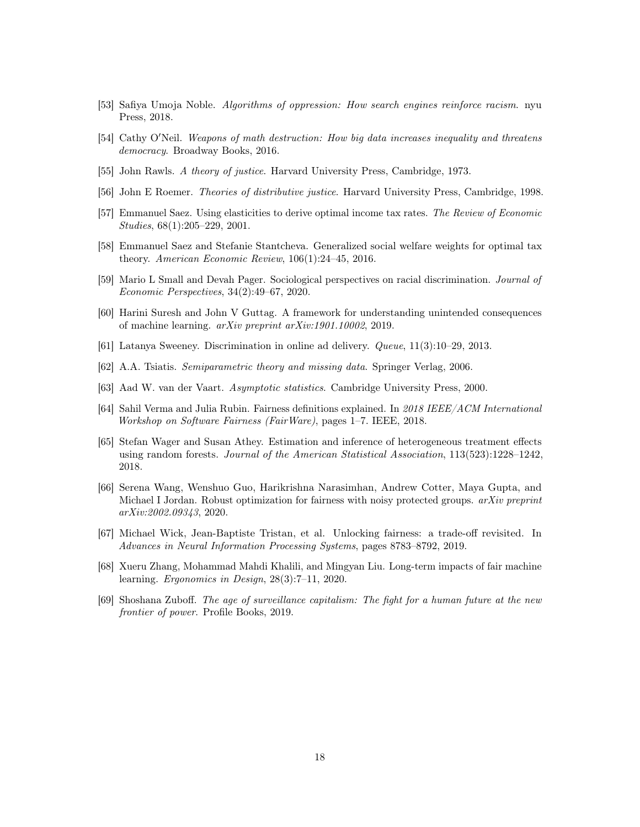- <span id="page-17-2"></span>[53] Safiya Umoja Noble. Algorithms of oppression: How search engines reinforce racism. nyu Press, 2018.
- <span id="page-17-3"></span>[54] Cathy O'Neil. Weapons of math destruction: How big data increases inequality and threatens democracy. Broadway Books, 2016.
- <span id="page-17-0"></span>[55] John Rawls. A theory of justice. Harvard University Press, Cambridge, 1973.
- <span id="page-17-6"></span>[56] John E Roemer. Theories of distributive justice. Harvard University Press, Cambridge, 1998.
- <span id="page-17-13"></span>[57] Emmanuel Saez. Using elasticities to derive optimal income tax rates. The Review of Economic Studies, 68(1):205–229, 2001.
- <span id="page-17-7"></span>[58] Emmanuel Saez and Stefanie Stantcheva. Generalized social welfare weights for optimal tax theory. American Economic Review, 106(1):24–45, 2016.
- <span id="page-17-8"></span>[59] Mario L Small and Devah Pager. Sociological perspectives on racial discrimination. Journal of Economic Perspectives, 34(2):49–67, 2020.
- <span id="page-17-4"></span>[60] Harini Suresh and John V Guttag. A framework for understanding unintended consequences of machine learning. arXiv preprint arXiv:1901.10002, 2019.
- <span id="page-17-1"></span>[61] Latanya Sweeney. Discrimination in online ad delivery. Queue, 11(3):10–29, 2013.
- <span id="page-17-16"></span>[62] A.A. Tsiatis. Semiparametric theory and missing data. Springer Verlag, 2006.
- <span id="page-17-12"></span>[63] Aad W. van der Vaart. Asymptotic statistics. Cambridge University Press, 2000.
- <span id="page-17-5"></span>[64] Sahil Verma and Julia Rubin. Fairness definitions explained. In 2018 IEEE/ACM International Workshop on Software Fairness (FairWare), pages 1–7. IEEE, 2018.
- <span id="page-17-15"></span>[65] Stefan Wager and Susan Athey. Estimation and inference of heterogeneous treatment effects using random forests. Journal of the American Statistical Association, 113(523):1228–1242, 2018.
- <span id="page-17-10"></span>[66] Serena Wang, Wenshuo Guo, Harikrishna Narasimhan, Andrew Cotter, Maya Gupta, and Michael I Jordan. Robust optimization for fairness with noisy protected groups. arXiv preprint arXiv:2002.09343, 2020.
- <span id="page-17-11"></span>[67] Michael Wick, Jean-Baptiste Tristan, et al. Unlocking fairness: a trade-off revisited. In Advances in Neural Information Processing Systems, pages 8783–8792, 2019.
- <span id="page-17-9"></span>[68] Xueru Zhang, Mohammad Mahdi Khalili, and Mingyan Liu. Long-term impacts of fair machine learning. Ergonomics in Design, 28(3):7–11, 2020.
- <span id="page-17-14"></span>[69] Shoshana Zuboff. The age of surveillance capitalism: The fight for a human future at the new frontier of power. Profile Books, 2019.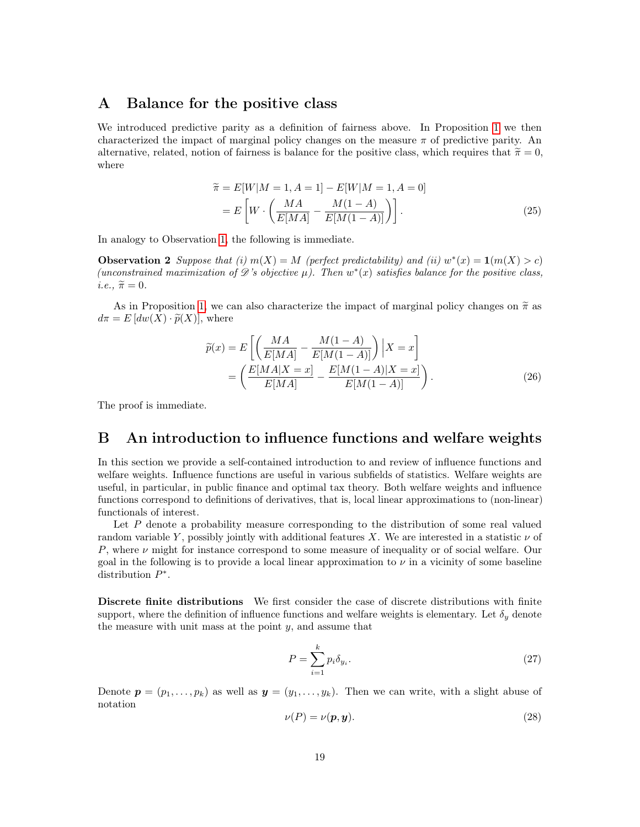#### <span id="page-18-0"></span>A Balance for the positive class

We introduced predictive parity as a definition of fairness above. In Proposition [1](#page-6-0) we then characterized the impact of marginal policy changes on the measure  $\pi$  of predictive parity. An alternative, related, notion of fairness is balance for the positive class, which requires that  $\tilde{\pi} = 0$ , where

<span id="page-18-1"></span>
$$
\widetilde{\pi} = E[W|M = 1, A = 1] - E[W|M = 1, A = 0]
$$

$$
= E\left[W \cdot \left(\frac{MA}{E[MA]} - \frac{M(1-A)}{E[M(1-A)]}\right)\right].
$$
(25)

In analogy to Observation [1,](#page-4-1) the following is immediate.

**Observation 2** Suppose that (i)  $m(X) = M$  (perfect predictability) and (ii)  $w^*(x) = \mathbf{1}(m(X) > c)$ (unconstrained maximization of  $\mathscr{D}$ 's objective  $\mu$ ). Then  $w^*(x)$  satisfies balance for the positive class,  $i.e., \tilde{\pi} = 0.$ 

As in Proposition [1,](#page-6-0) we can also characterize the impact of marginal policy changes on  $\tilde{\pi}$  as  $d\pi = E [dw(X) \cdot \widetilde{p}(X)]$ , where

$$
\widetilde{p}(x) = E\left[\left(\frac{MA}{E[MA]} - \frac{M(1-A)}{E[M(1-A)]}\right)|X=x\right]
$$

$$
= \left(\frac{E[MA|X=x]}{E[MA]} - \frac{E[M(1-A)|X=x]}{E[M(1-A)]}\right).
$$
(26)

The proof is immediate.

## <span id="page-18-2"></span>B An introduction to influence functions and welfare weights

In this section we provide a self-contained introduction to and review of influence functions and welfare weights. Influence functions are useful in various subfields of statistics. Welfare weights are useful, in particular, in public finance and optimal tax theory. Both welfare weights and influence functions correspond to definitions of derivatives, that is, local linear approximations to (non-linear) functionals of interest.

Let  $P$  denote a probability measure corresponding to the distribution of some real valued random variable Y, possibly jointly with additional features X. We are interested in a statistic  $\nu$  of P, where  $\nu$  might for instance correspond to some measure of inequality or of social welfare. Our goal in the following is to provide a local linear approximation to  $\nu$  in a vicinity of some baseline distribution  $P^*$ .

Discrete finite distributions We first consider the case of discrete distributions with finite support, where the definition of influence functions and welfare weights is elementary. Let  $\delta_y$  denote the measure with unit mass at the point  $y$ , and assume that

$$
P = \sum_{i=1}^{k} p_i \delta_{y_i}.
$$
\n
$$
(27)
$$

Denote  $p = (p_1, \ldots, p_k)$  as well as  $y = (y_1, \ldots, y_k)$ . Then we can write, with a slight abuse of notation

$$
\nu(P) = \nu(\mathbf{p}, \mathbf{y}).\tag{28}
$$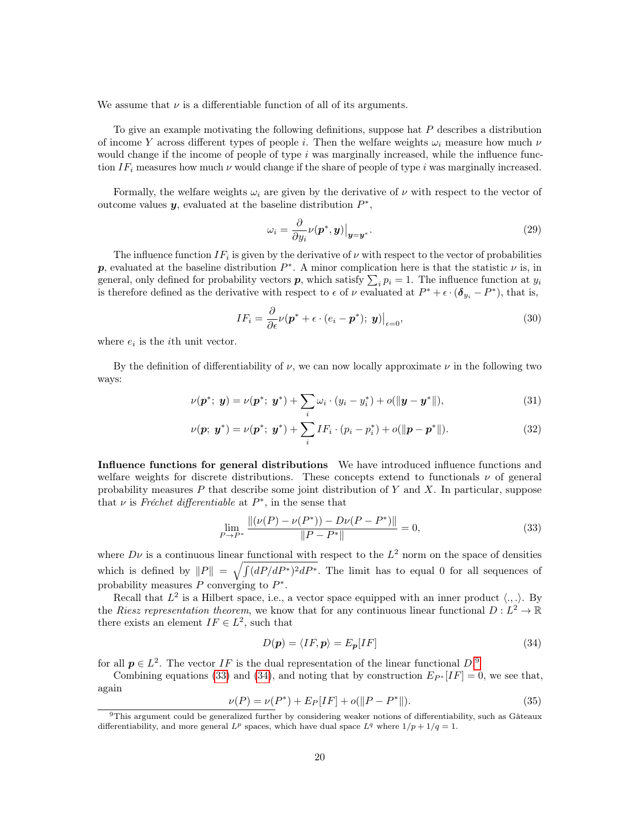We assume that  $\nu$  is a differentiable function of all of its arguments.

To give an example motivating the following definitions, suppose hat P describes a distribution of income Y across different types of people i. Then the welfare weights  $\omega_i$  measure how much  $\nu$ would change if the income of people of type  $i$  was marginally increased, while the influence function  $IF_i$  measures how much  $\nu$  would change if the share of people of type i was marginally increased.

Formally, the welfare weights  $\omega_i$  are given by the derivative of  $\nu$  with respect to the vector of outcome values  $y$ , evaluated at the baseline distribution  $P^*$ ,

$$
\omega_i = \frac{\partial}{\partial y_i} \nu(\boldsymbol{p}^*, \boldsymbol{y}) \big|_{\boldsymbol{y} = \boldsymbol{y}^*}.
$$
\n(29)

The influence function  $IF_i$  is given by the derivative of  $\nu$  with respect to the vector of probabilities p, evaluated at the baseline distribution  $P^*$ . A minor complication here is that the statistic  $\nu$  is, in general, only defined for probability vectors  $p$ , which satisfy  $\sum_i p_i = 1$ . The influence function at  $y_i$ is therefore defined as the derivative with respect to  $\epsilon$  of  $\nu$  evaluated at  $P^* + \epsilon \cdot (\delta_{y_i} - P^*)$ , that is,

$$
IF_i = \frac{\partial}{\partial \epsilon} \nu (\boldsymbol{p}^* + \epsilon \cdot (e_i - \boldsymbol{p}^*); \boldsymbol{y}) \Big|_{\epsilon=0},
$$
\n(30)

where  $e_i$  is the *i*<sup>th</sup> unit vector.

By the definition of differentiability of  $\nu$ , we can now locally approximate  $\nu$  in the following two ways:

$$
\nu(\mathbf{p}^*; \mathbf{y}) = \nu(\mathbf{p}^*; \mathbf{y}^*) + \sum_i \omega_i \cdot (y_i - y_i^*) + o(||\mathbf{y} - \mathbf{y}^*||), \tag{31}
$$

$$
\nu(\mathbf{p}; \; \mathbf{y}^*) = \nu(\mathbf{p}^*; \; \mathbf{y}^*) + \sum_i IF_i \cdot (p_i - p_i^*) + o(\|\mathbf{p} - \mathbf{p}^*\|). \tag{32}
$$

Influence functions for general distributions We have introduced influence functions and welfare weights for discrete distributions. These concepts extend to functionals  $\nu$  of general probability measures  $P$  that describe some joint distribution of Y and X. In particular, suppose that  $\nu$  is Fréchet differentiable at  $P^*$ , in the sense that

<span id="page-19-1"></span>
$$
\lim_{P \to P^*} \frac{\| (\nu(P) - \nu(P^*)) - D\nu(P - P^*) \|}{\|P - P^*\|} = 0,
$$
\n(33)

where  $D\nu$  is a continuous linear functional with respect to the  $L^2$  norm on the space of densities which is defined by  $||P|| = \sqrt{\int (dP/dP*)^2 dP^*}$ . The limit has to equal 0 for all sequences of probability measures P converging to  $P^*$ .

Recall that  $L^2$  is a Hilbert space, i.e., a vector space equipped with an inner product  $\langle ., . \rangle$ . By the Riesz representation theorem, we know that for any continuous linear functional  $D: L^2 \to \mathbb{R}$ there exists an element  $IF \in L^2$ , such that

<span id="page-19-2"></span>
$$
D(\mathbf{p}) = \langle IF, \mathbf{p} \rangle = E_{\mathbf{p}}[IF] \tag{34}
$$

for all  $p \in L^2$ . The vector IF is the dual representation of the linear functional  $D^0$ .

Combining equations [\(33\)](#page-19-1) and [\(34\)](#page-19-2), and noting that by construction  $E_{P^*}[IF] = 0$ , we see that, again

$$
\nu(P) = \nu(P^*) + E_P[IF] + o(||P - P^*||). \tag{35}
$$

<span id="page-19-0"></span><sup>9</sup>This argument could be generalized further by considering weaker notions of differentiability, such as Gâteaux differentiability, and more general  $L^p$  spaces, which have dual space  $L^q$  where  $1/p + 1/q = 1$ .